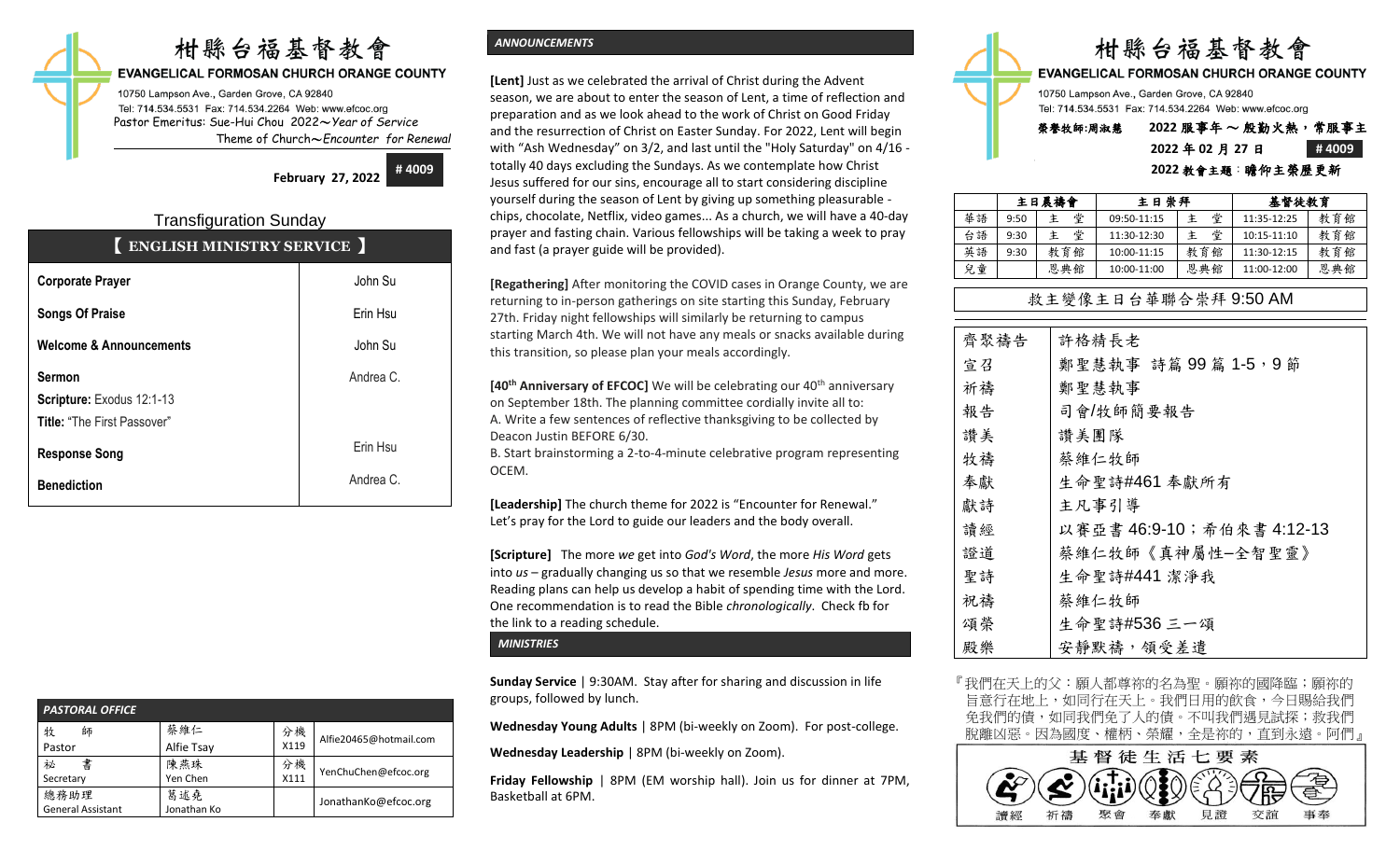# 柑縣台福基督教會

#### **EVANGELICAL FORMOSAN CHURCH ORANGE COUNTY**

10750 Lampson Ave., Garden Grove, CA 92840 Tel: 714.534.5531 Fax: 714.534.2264 Web: www.efcoc.org Pastor Emeritus: Sue-Hui Chou 2022〜*Year of Service* Theme of Church〜*Encounter for Renewal*

> **February 27, 2022 # 4009**

## Transfiguration Sunday 【 **ENGLISH MINISTRY SERVICE** 】

| <b>Corporate Prayer</b>                                                          | John Su   |
|----------------------------------------------------------------------------------|-----------|
| <b>Songs Of Praise</b>                                                           | Erin Hsu  |
| <b>Welcome &amp; Announcements</b>                                               | John Su   |
| <b>Sermon</b><br>Scripture: Exodus 12:1-13<br><b>Title: "The First Passover"</b> | Andrea C. |
| <b>Response Song</b>                                                             | Erin Hsu  |
| <b>Benediction</b>                                                               | Andrea C. |

| <b>PASTORAL OFFICE</b>           |                    |            |                        |
|----------------------------------|--------------------|------------|------------------------|
| 牧<br>師<br>Pastor                 | 蔡維仁<br>Alfie Tsay  | 分機<br>X119 | Alfie20465@hotmail.com |
| 書<br>祕<br>Secretary              | 陳燕珠<br>Yen Chen    | 分機<br>X111 | YenChuChen@efcoc.org   |
| 總務助理<br><b>General Assistant</b> | 葛述堯<br>Jonathan Ko |            | JonathanKo@efcoc.org   |

## *ANNOUNCEMENTS*

**[Lent]** Just as we celebrated the arrival of Christ during the Advent season, we are about to enter the season of Lent, a time of reflection and preparation and as we look ahead to the work of Christ on Good Friday and the resurrection of Christ on Easter Sunday. For 2022, Lent will begin with "Ash Wednesday" on 3/2, and last until the "Holy Saturday" on 4/16 totally 40 days excluding the Sundays. As we contemplate how Christ Jesus suffered for our sins, encourage all to start considering discipline yourself during the season of Lent by giving up something pleasurable chips, chocolate, Netflix, video games... As a church, we will have a 40-day prayer and fasting chain. Various fellowships will be taking a week to pray and fast (a prayer guide will be provided).

**[Regathering]** After monitoring the COVID cases in Orange County, we are returning to in-person gatherings on site starting this Sunday, February 27th. Friday night fellowships will similarly be returning to campus starting March 4th. We will not have any meals or snacks available during this transition, so please plan your meals accordingly.

**[40<sup>th</sup> Anniversary of EFCOC]** We will be celebrating our 40<sup>th</sup> anniversary on September 18th. The planning committee cordially invite all to: A. Write a few sentences of reflective thanksgiving to be collected by Deacon Justin BEFORE 6/30.

B. Start brainstorming a 2-to-4-minute celebrative program representing OCEM.

**[Leadership]** The church theme for 2022 is "Encounter for Renewal." Let's pray for the Lord to guide our leaders and the body overall.

**[Scripture]** The more *we* get into *God's Word*, the more *His Word* gets into *us* – gradually changing us so that we resemble *Jesus* more and more. Reading plans can help us develop a habit of spending time with the Lord. One recommendation is to read the Bible *chronologically*. Check fb for the link to a reading schedule.

*MINISTRIES*

**Sunday Service** | 9:30AM. Stay after for sharing and discussion in life groups, followed by lunch.

**Wednesday Young Adults** | 8PM (bi-weekly on Zoom). For post-college.

**Wednesday Leadership** | 8PM (bi-weekly on Zoom).

**Friday Fellowship** | 8PM (EM worship hall). Join us for dinner at 7PM, Basketball at 6PM.



10750 Lampson Ave., Garden Grove, CA 92840 Tel: 714.534.5531 Fax: 714.534.2264 Web: www.efcoc.org

## 榮譽牧師**:**周淑慧 **2022** 服事年 〜 殷勤火熱,常服事主 **2022** 年 **02** 月 **27** 日 **# 4009**

#### **2022** 教會主題:瞻仰主榮歷更新

|    | 主日晨禱會 |        | 主日崇拜        |     |             | 基督徒教育 |  |
|----|-------|--------|-------------|-----|-------------|-------|--|
| 華語 | 9:50  | 堂<br>主 | 09:50-11:15 | 堂   | 11:35-12:25 | 教育館   |  |
| 台語 | 9:30  | 堂<br>主 | 11:30-12:30 | 堂   | 10:15-11:10 | 教育館   |  |
| 英語 | 9:30  | 教育館    | 10:00-11:15 | 教育館 | 11:30-12:15 | 教育館   |  |
| 兒童 |       | 恩典館    | 10:00-11:00 | 恩典館 | 11:00-12:00 | 恩典館   |  |

## 救主變像主日台華聯合崇拜 9:50 AM

| 齊聚禱告 | 許格精長老                     |
|------|---------------------------|
| 宣召   | 鄭聖慧執事 詩篇 99篇 1-5, 9節      |
| 祈禱   | 鄭聖慧執事                     |
| 報告   | 司會/牧師簡要報告                 |
| 讚美   | 讚美團隊                      |
| 牧禱   | 蔡維仁牧師                     |
| 奉獻   | 生命聖詩#461 奉獻所有             |
| 獻詩   | 主凡事引導                     |
| 讀經   | 以賽亞書 46:9-10;希伯來書 4:12-13 |
| 證道   | 蔡維仁牧師《真神屬性-全智聖靈》          |
| 聖詩   | 生命聖詩#441 潔淨我              |
| 祝禱   | 蔡維仁牧師                     |
| 頌榮   | 生命聖詩#536三一頌               |
| 殿樂   | 安靜默禱, 領受差遣                |

『我們在天上的父:願人都尊祢的名為聖。願祢的國降臨;願祢的 旨意行在地上,如同行在天上。我們日用的飲食,今日賜給我們 免我們的債,如同我們免了人的債。不叫我們遇見試探;救我們 脫離凶惡。因為國度、權柄、榮耀,全是祢的,直到永遠。阿們』